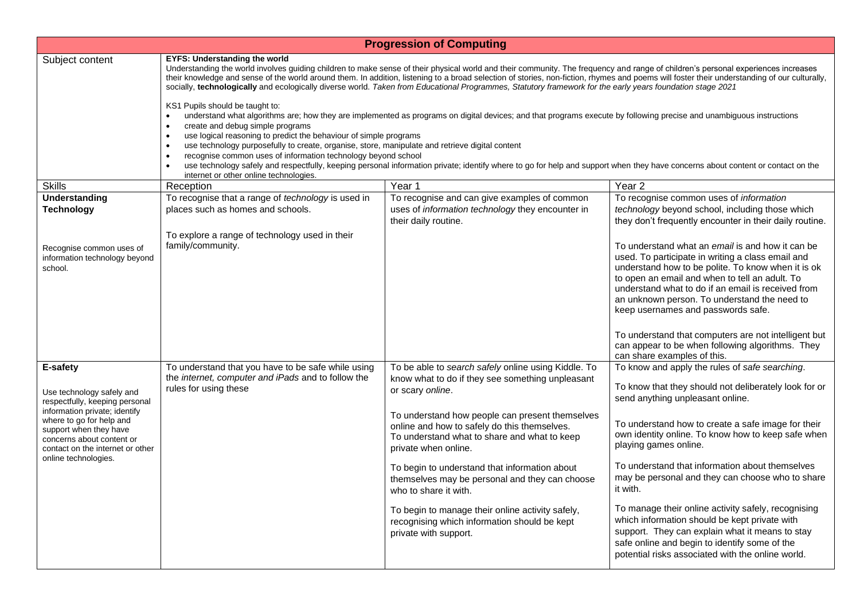| <b>Progression of Computing</b>                                                                                                                                                                                                                         |                                                                                                                                                                                                                                                                                                                                                                                                                                                                                                                                                                                                                                                                                                                                                                                                                                                                                                                                                                                                                                                                                                                                                                                                                                                                                                                           |                                                                                                                                                                         |                                                                                                                                                                                                                                                                                                                                                                                                                                                                                                      |  |  |  |
|---------------------------------------------------------------------------------------------------------------------------------------------------------------------------------------------------------------------------------------------------------|---------------------------------------------------------------------------------------------------------------------------------------------------------------------------------------------------------------------------------------------------------------------------------------------------------------------------------------------------------------------------------------------------------------------------------------------------------------------------------------------------------------------------------------------------------------------------------------------------------------------------------------------------------------------------------------------------------------------------------------------------------------------------------------------------------------------------------------------------------------------------------------------------------------------------------------------------------------------------------------------------------------------------------------------------------------------------------------------------------------------------------------------------------------------------------------------------------------------------------------------------------------------------------------------------------------------------|-------------------------------------------------------------------------------------------------------------------------------------------------------------------------|------------------------------------------------------------------------------------------------------------------------------------------------------------------------------------------------------------------------------------------------------------------------------------------------------------------------------------------------------------------------------------------------------------------------------------------------------------------------------------------------------|--|--|--|
| Subject content                                                                                                                                                                                                                                         | <b>EYFS: Understanding the world</b><br>Understanding the world involves guiding children to make sense of their physical world and their community. The frequency and range of children's personal experiences increases<br>their knowledge and sense of the world around them. In addition, listening to a broad selection of stories, non-fiction, rhymes and poems will foster their understanding of our culturally,<br>socially, technologically and ecologically diverse world. Taken from Educational Programmes, Statutory framework for the early years foundation stage 2021<br>KS1 Pupils should be taught to:<br>understand what algorithms are; how they are implemented as programs on digital devices; and that programs execute by following precise and unambiguous instructions<br>create and debug simple programs<br>use logical reasoning to predict the behaviour of simple programs<br>use technology purposefully to create, organise, store, manipulate and retrieve digital content<br>$\bullet$<br>recognise common uses of information technology beyond school<br>use technology safely and respectfully, keeping personal information private; identify where to go for help and support when they have concerns about content or contact on the<br>internet or other online technologies. |                                                                                                                                                                         |                                                                                                                                                                                                                                                                                                                                                                                                                                                                                                      |  |  |  |
| <b>Skills</b>                                                                                                                                                                                                                                           | Reception                                                                                                                                                                                                                                                                                                                                                                                                                                                                                                                                                                                                                                                                                                                                                                                                                                                                                                                                                                                                                                                                                                                                                                                                                                                                                                                 | Year 1                                                                                                                                                                  | Year <sub>2</sub>                                                                                                                                                                                                                                                                                                                                                                                                                                                                                    |  |  |  |
| Understanding<br><b>Technology</b>                                                                                                                                                                                                                      | To recognise that a range of technology is used in<br>places such as homes and schools.<br>To explore a range of technology used in their                                                                                                                                                                                                                                                                                                                                                                                                                                                                                                                                                                                                                                                                                                                                                                                                                                                                                                                                                                                                                                                                                                                                                                                 | To recognise and can give examples of common<br>uses of information technology they encounter in<br>their daily routine.                                                | To recognise common uses of information<br>technology beyond school, including those which<br>they don't frequently encounter in their daily routine.                                                                                                                                                                                                                                                                                                                                                |  |  |  |
| Recognise common uses of<br>information technology beyond<br>school.                                                                                                                                                                                    | family/community.                                                                                                                                                                                                                                                                                                                                                                                                                                                                                                                                                                                                                                                                                                                                                                                                                                                                                                                                                                                                                                                                                                                                                                                                                                                                                                         |                                                                                                                                                                         | To understand what an email is and how it can be<br>used. To participate in writing a class email and<br>understand how to be polite. To know when it is ok<br>to open an email and when to tell an adult. To<br>understand what to do if an email is received from<br>an unknown person. To understand the need to<br>keep usernames and passwords safe.<br>To understand that computers are not intelligent but<br>can appear to be when following algorithms. They<br>can share examples of this. |  |  |  |
| E-safety<br>Use technology safely and<br>respectfully, keeping personal<br>information private; identify<br>where to go for help and<br>support when they have<br>concerns about content or<br>contact on the internet or other<br>online technologies. | To understand that you have to be safe while using<br>the internet, computer and iPads and to follow the<br>rules for using these                                                                                                                                                                                                                                                                                                                                                                                                                                                                                                                                                                                                                                                                                                                                                                                                                                                                                                                                                                                                                                                                                                                                                                                         | To be able to search safely online using Kiddle. To<br>know what to do if they see something unpleasant<br>or scary online.                                             | To know and apply the rules of safe searching.<br>To know that they should not deliberately look for or<br>send anything unpleasant online.                                                                                                                                                                                                                                                                                                                                                          |  |  |  |
|                                                                                                                                                                                                                                                         |                                                                                                                                                                                                                                                                                                                                                                                                                                                                                                                                                                                                                                                                                                                                                                                                                                                                                                                                                                                                                                                                                                                                                                                                                                                                                                                           | To understand how people can present themselves<br>online and how to safely do this themselves.<br>To understand what to share and what to keep<br>private when online. | To understand how to create a safe image for their<br>own identity online. To know how to keep safe when<br>playing games online.                                                                                                                                                                                                                                                                                                                                                                    |  |  |  |
|                                                                                                                                                                                                                                                         |                                                                                                                                                                                                                                                                                                                                                                                                                                                                                                                                                                                                                                                                                                                                                                                                                                                                                                                                                                                                                                                                                                                                                                                                                                                                                                                           | To begin to understand that information about<br>themselves may be personal and they can choose<br>who to share it with.                                                | To understand that information about themselves<br>may be personal and they can choose who to share<br>it with.                                                                                                                                                                                                                                                                                                                                                                                      |  |  |  |
|                                                                                                                                                                                                                                                         |                                                                                                                                                                                                                                                                                                                                                                                                                                                                                                                                                                                                                                                                                                                                                                                                                                                                                                                                                                                                                                                                                                                                                                                                                                                                                                                           | To begin to manage their online activity safely,<br>recognising which information should be kept<br>private with support.                                               | To manage their online activity safely, recognising<br>which information should be kept private with<br>support. They can explain what it means to stay<br>safe online and begin to identify some of the<br>potential risks associated with the online world.                                                                                                                                                                                                                                        |  |  |  |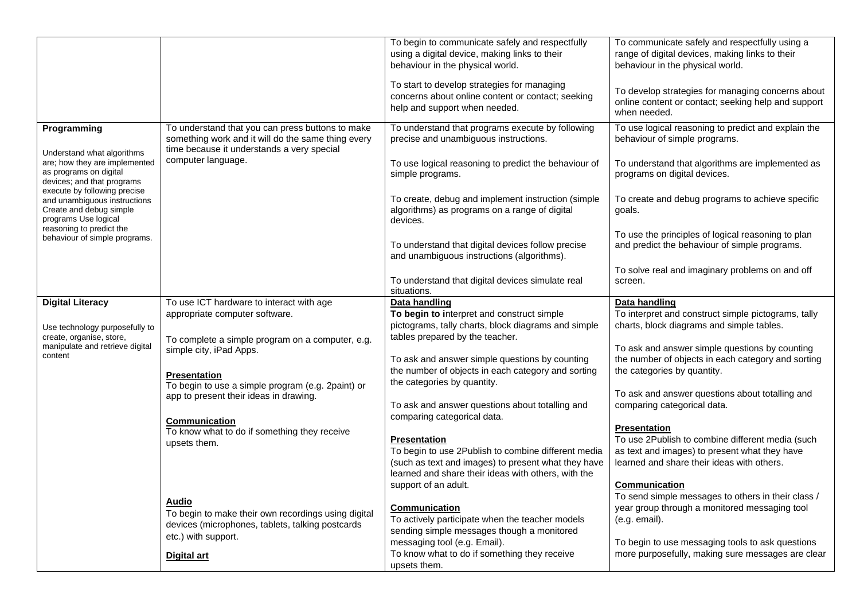|                                                                                                                       |                                                                                                                                                      | To begin to communicate safely and respectfully<br>using a digital device, making links to their<br>behaviour in the physical world.<br>To start to develop strategies for managing<br>concerns about online content or contact; seeking<br>help and support when needed. | To communicate safely and respectfully using a<br>range of digital devices, making links to their<br>behaviour in the physical world.<br>To develop strategies for managing concerns about<br>online content or contact; seeking help and support<br>when needed. |
|-----------------------------------------------------------------------------------------------------------------------|------------------------------------------------------------------------------------------------------------------------------------------------------|---------------------------------------------------------------------------------------------------------------------------------------------------------------------------------------------------------------------------------------------------------------------------|-------------------------------------------------------------------------------------------------------------------------------------------------------------------------------------------------------------------------------------------------------------------|
| Programming<br>Understand what algorithms                                                                             | To understand that you can press buttons to make<br>something work and it will do the same thing every<br>time because it understands a very special | To understand that programs execute by following<br>precise and unambiguous instructions.                                                                                                                                                                                 | To use logical reasoning to predict and explain the<br>behaviour of simple programs.                                                                                                                                                                              |
| are; how they are implemented<br>as programs on digital<br>devices; and that programs<br>execute by following precise | computer language.                                                                                                                                   | To use logical reasoning to predict the behaviour of<br>simple programs.                                                                                                                                                                                                  | To understand that algorithms are implemented as<br>programs on digital devices.                                                                                                                                                                                  |
| and unambiguous instructions<br>Create and debug simple<br>programs Use logical                                       |                                                                                                                                                      | To create, debug and implement instruction (simple<br>algorithms) as programs on a range of digital<br>devices.                                                                                                                                                           | To create and debug programs to achieve specific<br>goals.                                                                                                                                                                                                        |
| reasoning to predict the<br>behaviour of simple programs.                                                             |                                                                                                                                                      | To understand that digital devices follow precise<br>and unambiguous instructions (algorithms).                                                                                                                                                                           | To use the principles of logical reasoning to plan<br>and predict the behaviour of simple programs.                                                                                                                                                               |
|                                                                                                                       |                                                                                                                                                      | To understand that digital devices simulate real<br>situations.                                                                                                                                                                                                           | To solve real and imaginary problems on and off<br>screen.                                                                                                                                                                                                        |
| <b>Digital Literacy</b>                                                                                               | To use ICT hardware to interact with age                                                                                                             | Data handling                                                                                                                                                                                                                                                             | Data handling                                                                                                                                                                                                                                                     |
|                                                                                                                       | appropriate computer software.                                                                                                                       | To begin to interpret and construct simple                                                                                                                                                                                                                                | To interpret and construct simple pictograms, tally                                                                                                                                                                                                               |
| Use technology purposefully to                                                                                        |                                                                                                                                                      | pictograms, tally charts, block diagrams and simple                                                                                                                                                                                                                       | charts, block diagrams and simple tables.                                                                                                                                                                                                                         |
| create, organise, store,<br>manipulate and retrieve digital                                                           | To complete a simple program on a computer, e.g.<br>simple city, iPad Apps.                                                                          | tables prepared by the teacher.                                                                                                                                                                                                                                           | To ask and answer simple questions by counting                                                                                                                                                                                                                    |
| content                                                                                                               |                                                                                                                                                      | To ask and answer simple questions by counting                                                                                                                                                                                                                            | the number of objects in each category and sorting                                                                                                                                                                                                                |
|                                                                                                                       | Presentation                                                                                                                                         | the number of objects in each category and sorting                                                                                                                                                                                                                        | the categories by quantity.                                                                                                                                                                                                                                       |
|                                                                                                                       | To begin to use a simple program (e.g. 2paint) or<br>app to present their ideas in drawing.                                                          | the categories by quantity.                                                                                                                                                                                                                                               | To ask and answer questions about totalling and                                                                                                                                                                                                                   |
|                                                                                                                       |                                                                                                                                                      | To ask and answer questions about totalling and                                                                                                                                                                                                                           | comparing categorical data.                                                                                                                                                                                                                                       |
|                                                                                                                       |                                                                                                                                                      | comparing categorical data.                                                                                                                                                                                                                                               |                                                                                                                                                                                                                                                                   |
|                                                                                                                       | <b>Communication</b><br>To know what to do if something they receive                                                                                 |                                                                                                                                                                                                                                                                           | <b>Presentation</b>                                                                                                                                                                                                                                               |
|                                                                                                                       | upsets them.                                                                                                                                         | <b>Presentation</b>                                                                                                                                                                                                                                                       | To use 2Publish to combine different media (such                                                                                                                                                                                                                  |
|                                                                                                                       |                                                                                                                                                      | To begin to use 2Publish to combine different media                                                                                                                                                                                                                       | as text and images) to present what they have                                                                                                                                                                                                                     |
|                                                                                                                       |                                                                                                                                                      | (such as text and images) to present what they have                                                                                                                                                                                                                       | learned and share their ideas with others.                                                                                                                                                                                                                        |
|                                                                                                                       |                                                                                                                                                      | learned and share their ideas with others, with the                                                                                                                                                                                                                       |                                                                                                                                                                                                                                                                   |
|                                                                                                                       |                                                                                                                                                      | support of an adult.                                                                                                                                                                                                                                                      | <b>Communication</b>                                                                                                                                                                                                                                              |
|                                                                                                                       | Audio                                                                                                                                                |                                                                                                                                                                                                                                                                           | To send simple messages to others in their class /                                                                                                                                                                                                                |
|                                                                                                                       | To begin to make their own recordings using digital                                                                                                  | Communication                                                                                                                                                                                                                                                             | year group through a monitored messaging tool                                                                                                                                                                                                                     |
|                                                                                                                       | devices (microphones, tablets, talking postcards                                                                                                     | To actively participate when the teacher models                                                                                                                                                                                                                           | (e.g. email).                                                                                                                                                                                                                                                     |
|                                                                                                                       | etc.) with support.                                                                                                                                  | sending simple messages though a monitored                                                                                                                                                                                                                                |                                                                                                                                                                                                                                                                   |
|                                                                                                                       |                                                                                                                                                      | messaging tool (e.g. Email).                                                                                                                                                                                                                                              | To begin to use messaging tools to ask questions                                                                                                                                                                                                                  |
|                                                                                                                       | Digital art                                                                                                                                          | To know what to do if something they receive<br>upsets them.                                                                                                                                                                                                              | more purposefully, making sure messages are clear                                                                                                                                                                                                                 |